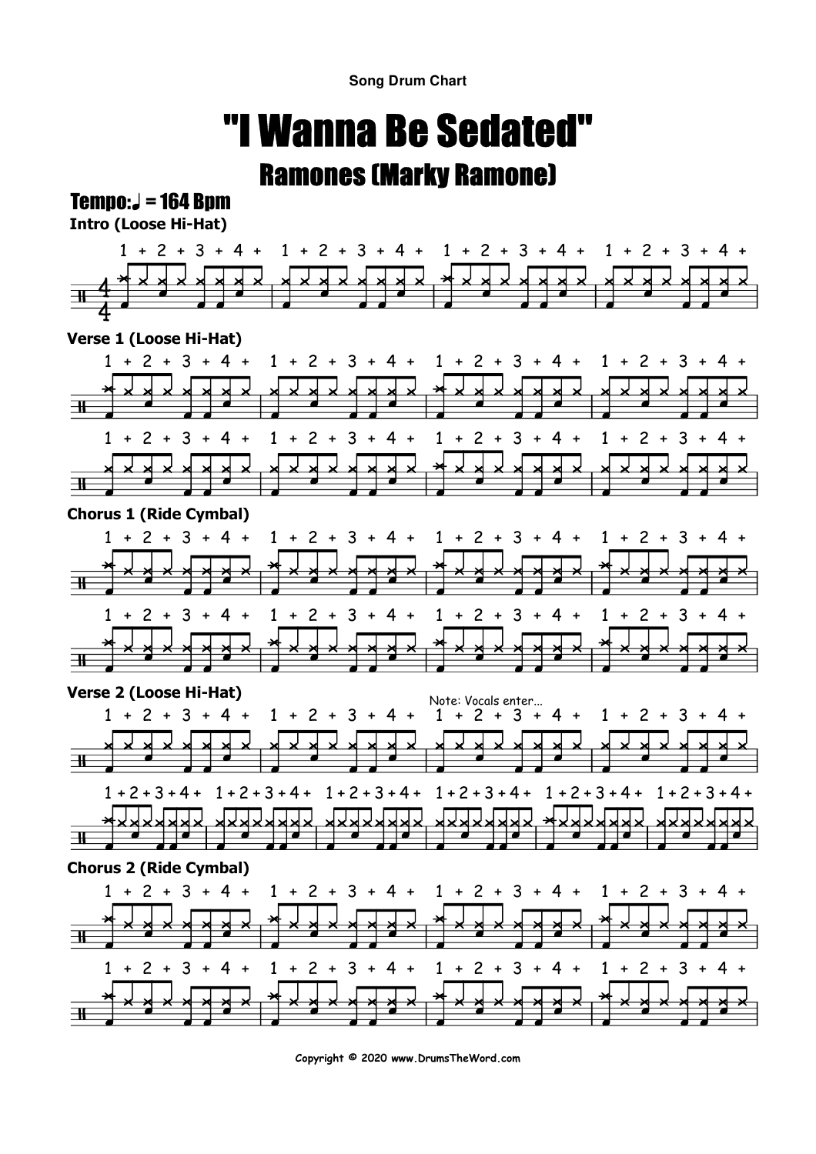**Song Drum Chart**

## "I Wanna Be Sedated"Ramones (Marky Ramone)

## $Tempo: J = 164$  Bpm

**Intro (Loose Hi-Hat)**



**Copyright © 2020 www.DrumsTheWord.com**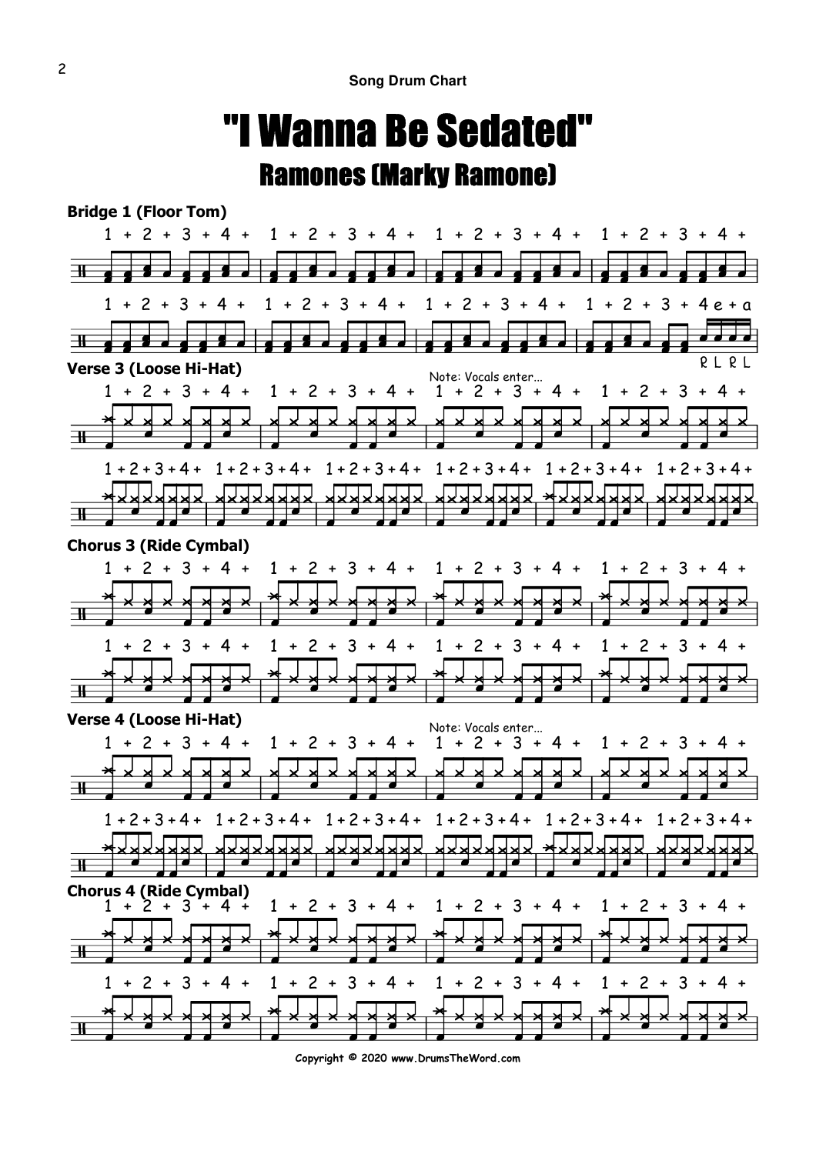## "I Wanna Be Sedated"Ramones (Marky Ramone)



**Copyright © 2020 www.DrumsTheWord.com**